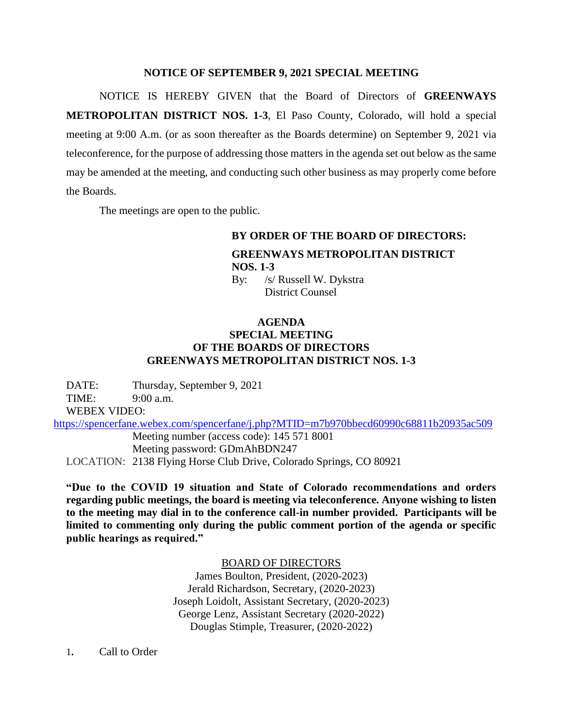## **NOTICE OF SEPTEMBER 9, 2021 SPECIAL MEETING**

NOTICE IS HEREBY GIVEN that the Board of Directors of **GREENWAYS METROPOLITAN DISTRICT NOS. 1-3**, El Paso County, Colorado, will hold a special meeting at 9:00 A.m. (or as soon thereafter as the Boards determine) on September 9, 2021 via teleconference, for the purpose of addressing those matters in the agenda set out below as the same may be amended at the meeting, and conducting such other business as may properly come before the Boards.

The meetings are open to the public.

## **BY ORDER OF THE BOARD OF DIRECTORS: GREENWAYS METROPOLITAN DISTRICT NOS. 1-3** By: /s/ Russell W. Dykstra

District Counsel

## **AGENDA SPECIAL MEETING OF THE BOARDS OF DIRECTORS GREENWAYS METROPOLITAN DISTRICT NOS. 1-3**

DATE: Thursday, September 9, 2021 TIME: 9:00 a.m. WEBEX VIDEO: <https://spencerfane.webex.com/spencerfane/j.php?MTID=m7b970bbecd60990c68811b20935ac509>

Meeting number (access code): 145 571 8001 Meeting password: GDmAhBDN247 LOCATION: 2138 Flying Horse Club Drive, Colorado Springs, CO 80921

**"Due to the COVID 19 situation and State of Colorado recommendations and orders regarding public meetings, the board is meeting via teleconference. Anyone wishing to listen to the meeting may dial in to the conference call-in number provided. Participants will be limited to commenting only during the public comment portion of the agenda or specific public hearings as required."**

BOARD OF DIRECTORS

James Boulton, President, (2020-2023) Jerald Richardson, Secretary, (2020-2023) Joseph Loidolt, Assistant Secretary, (2020-2023) George Lenz, Assistant Secretary (2020-2022) Douglas Stimple, Treasurer, (2020-2022)

1**.** Call to Order